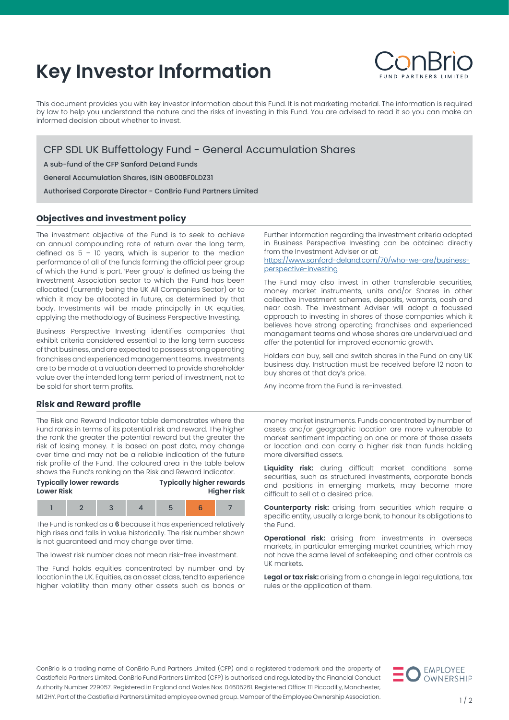# **Key Investor Information**



This document provides you with key investor information about this Fund. It is not marketing material. The information is required by law to help you understand the nature and the risks of investing in this Fund. You are advised to read it so you can make an informed decision about whether to invest.

CFP SDL UK Buffettology Fund - General Accumulation Shares

A sub-fund of the CFP Sanford DeLand Funds

General Accumulation Shares, ISIN GB00BF0LDZ31

Authorised Corporate Director - ConBrio Fund Partners Limited

## **Objectives and investment policy**

The investment objective of the Fund is to seek to achieve an annual compounding rate of return over the long term, defined as  $5 - 10$  years, which is superior to the median performance of all of the funds forming the official peer group of which the Fund is part. 'Peer group' is defined as being the Investment Association sector to which the Fund has been allocated (currently being the UK All Companies Sector) or to which it may be allocated in future, as determined by that body. Investments will be made principally in UK equities, applying the methodology of Business Perspective Investing.

Business Perspective Investing identifies companies that exhibit criteria considered essential to the long term success of that business, and are expected to possess strong operating franchises and experienced management teams. Investments are to be made at a valuation deemed to provide shareholder value over the intended long term period of investment, not to be sold for short term profits.

Further information regarding the investment criteria adopted in Business Perspective Investing can be obtained directly from the Investment Adviser or at:

[https://www.sanford-deland.com/70/who-we-are/business](https://www.sanford-deland.com/70/who-we-are/business-perspective-investing)[perspective-investing](https://www.sanford-deland.com/70/who-we-are/business-perspective-investing)

The Fund may also invest in other transferable securities, money market instruments, units and/or Shares in other collective investment schemes, deposits, warrants, cash and near cash. The Investment Adviser will adopt a focussed approach to investing in shares of those companies which it believes have strong operating franchises and experienced management teams and whose shares are undervalued and offer the potential for improved economic growth.

Holders can buy, sell and switch shares in the Fund on any UK business day. Instruction must be received before 12 noon to buy shares at that day's price.

Any income from the Fund is re-invested.

#### **Risk and Reward profile**

The Risk and Reward Indicator table demonstrates where the Fund ranks in terms of its potential risk and reward. The higher the rank the greater the potential reward but the greater the risk of losing money. It is based on past data, may change over time and may not be a reliable indication of the future risk profile of the Fund. The coloured area in the table below shows the Fund's ranking on the Risk and Reward Indicator.

| <b>Typically lower rewards</b><br><b>Lower Risk</b> |  | <b>Typically higher rewards</b><br><b>Higher risk</b> |  |  |  |  |
|-----------------------------------------------------|--|-------------------------------------------------------|--|--|--|--|
|                                                     |  |                                                       |  |  |  |  |

The Fund is ranked as a **6** because it has experienced relatively high rises and falls in value historically. The risk number shown is not guaranteed and may change over time.

The lowest risk number does not mean risk-free investment.

The Fund holds equities concentrated by number and by location in the UK. Equities, as an asset class, tend to experience higher volatility than many other assets such as bonds or money market instruments. Funds concentrated by number of assets and/or geographic location are more vulnerable to market sentiment impacting on one or more of those assets or location and can carry a higher risk than funds holding more diversified assets.

**Liquidity risk:** during difficult market conditions some securities, such as structured investments, corporate bonds and positions in emerging markets, may become more difficult to sell at a desired price.

**Counterparty risk:** arising from securities which require a specific entity, usually a large bank, to honour its obligations to the Fund.

**Operational risk:** arising from investments in overseas markets, in particular emerging market countries, which may not have the same level of safekeeping and other controls as UK markets.

**Legal or tax risk:** arising from a change in legal regulations, tax rules or the application of them.

ConBrio is a trading name of ConBrio Fund Partners Limited (CFP) and a registered trademark and the property of Castlefield Partners Limited. ConBrio Fund Partners Limited (CFP) is authorised and regulated by the Financial Conduct Authority Number 229057. Registered in England and Wales Nos. 04605261. Registered Office: 111 Piccadilly, Manchester, M1 2HY. Part of the Castlefield Partners Limited employee owned group. Member of the Employee Ownership Association.